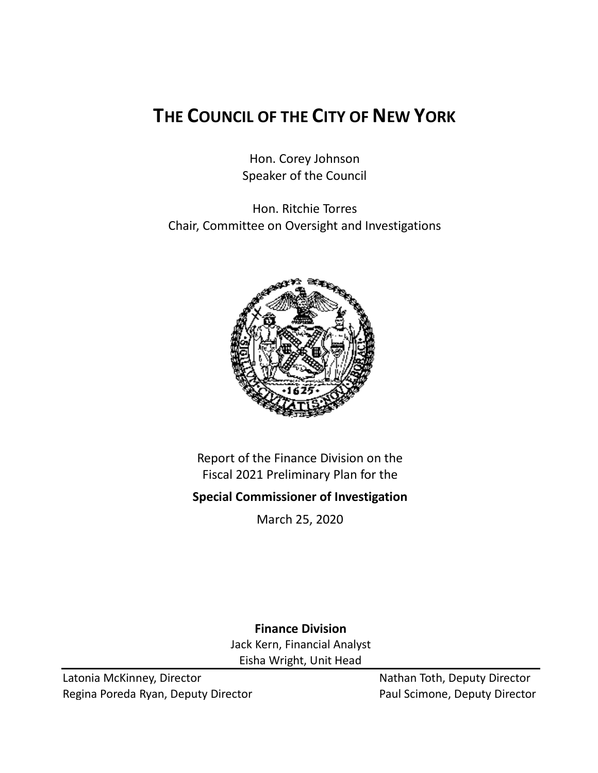# **THE COUNCIL OF THE CITY OF NEW YORK**

Hon. Corey Johnson Speaker of the Council

Hon. Ritchie Torres Chair, Committee on Oversight and Investigations



Report of the Finance Division on the Fiscal 2021 Preliminary Plan for the

## **Special Commissioner of Investigation**

March 25, 2020

**Finance Division** Jack Kern, Financial Analyst Eisha Wright, Unit Head

Latonia McKinney, Director Nathan Toth, Deputy Director Regina Poreda Ryan, Deputy Director **Paul Scimone, Deputy Director**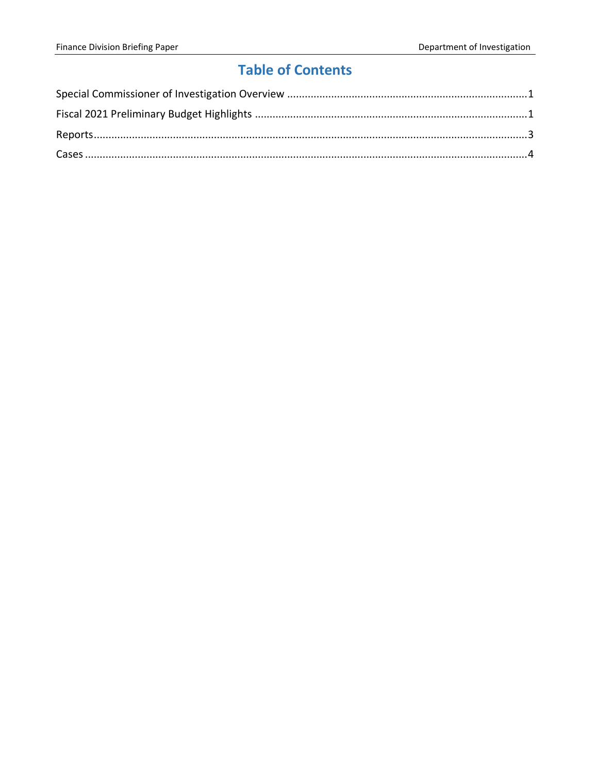# **Table of Contents**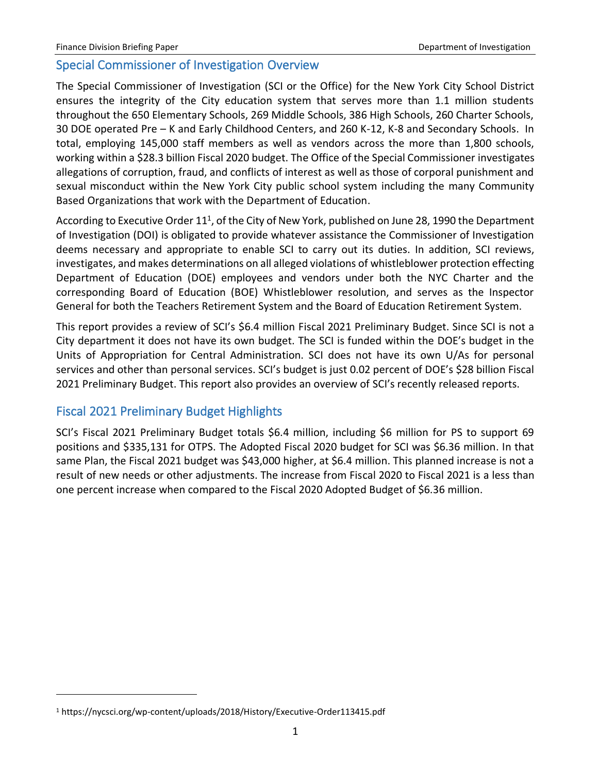#### <span id="page-2-0"></span>Special Commissioner of Investigation Overview

The Special Commissioner of Investigation (SCI or the Office) for the New York City School District ensures the integrity of the City education system that serves more than 1.1 million students throughout the 650 Elementary Schools, 269 Middle Schools, 386 High Schools, 260 Charter Schools, 30 DOE operated Pre – K and Early Childhood Centers, and 260 K-12, K-8 and Secondary Schools. In total, employing 145,000 staff members as well as vendors across the more than 1,800 schools, working within a \$28.3 billion Fiscal 2020 budget. The Office of the Special Commissioner investigates allegations of corruption, fraud, and conflicts of interest as well as those of corporal punishment and sexual misconduct within the New York City public school system including the many Community Based Organizations that work with the Department of Education.

According to Executive Order 11<sup>1</sup>, of the City of New York, published on June 28, 1990 the Department of Investigation (DOI) is obligated to provide whatever assistance the Commissioner of Investigation deems necessary and appropriate to enable SCI to carry out its duties. In addition, SCI reviews, investigates, and makes determinations on all alleged violations of whistleblower protection effecting Department of Education (DOE) employees and vendors under both the NYC Charter and the corresponding Board of Education (BOE) Whistleblower resolution, and serves as the Inspector General for both the Teachers Retirement System and the Board of Education Retirement System.

This report provides a review of SCI's \$6.4 million Fiscal 2021 Preliminary Budget. Since SCI is not a City department it does not have its own budget. The SCI is funded within the DOE's budget in the Units of Appropriation for Central Administration. SCI does not have its own U/As for personal services and other than personal services. SCI's budget is just 0.02 percent of DOE's \$28 billion Fiscal 2021 Preliminary Budget. This report also provides an overview of SCI's recently released reports.

### <span id="page-2-1"></span>Fiscal 2021 Preliminary Budget Highlights

SCI's Fiscal 2021 Preliminary Budget totals \$6.4 million, including \$6 million for PS to support 69 positions and \$335,131 for OTPS. The Adopted Fiscal 2020 budget for SCI was \$6.36 million. In that same Plan, the Fiscal 2021 budget was \$43,000 higher, at \$6.4 million. This planned increase is not a result of new needs or other adjustments. The increase from Fiscal 2020 to Fiscal 2021 is a less than one percent increase when compared to the Fiscal 2020 Adopted Budget of \$6.36 million.

<sup>1</sup> https://nycsci.org/wp-content/uploads/2018/History/Executive-Order113415.pdf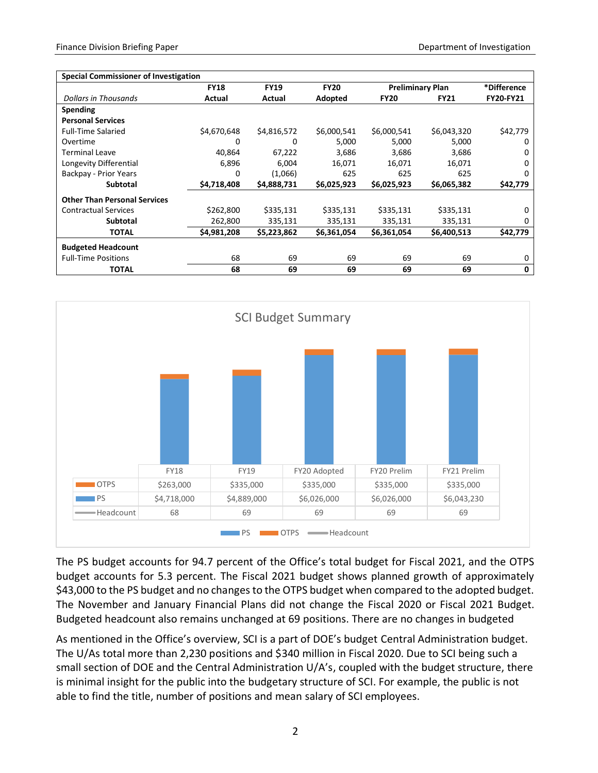| <b>Special Commissioner of Investigation</b> |             |             |             |                         |             |                  |
|----------------------------------------------|-------------|-------------|-------------|-------------------------|-------------|------------------|
|                                              | <b>FY18</b> | <b>FY19</b> | <b>FY20</b> | <b>Preliminary Plan</b> |             | *Difference      |
| Dollars in Thousands                         | Actual      | Actual      | Adopted     | <b>FY20</b>             | <b>FY21</b> | <b>FY20-FY21</b> |
| Spending                                     |             |             |             |                         |             |                  |
| <b>Personal Services</b>                     |             |             |             |                         |             |                  |
| <b>Full-Time Salaried</b>                    | \$4,670,648 | \$4,816,572 | \$6,000,541 | \$6,000,541             | \$6,043,320 | \$42,779         |
| Overtime                                     | 0           | 0           | 5,000       | 5,000                   | 5,000       | 0                |
| <b>Terminal Leave</b>                        | 40,864      | 67,222      | 3,686       | 3,686                   | 3,686       | 0                |
| Longevity Differential                       | 6,896       | 6.004       | 16.071      | 16.071                  | 16,071      | $\Omega$         |
| Backpay - Prior Years                        | 0           | (1,066)     | 625         | 625                     | 625         | 0                |
| <b>Subtotal</b>                              | \$4,718,408 | \$4,888,731 | \$6,025,923 | \$6,025,923             | \$6,065,382 | \$42,779         |
| <b>Other Than Personal Services</b>          |             |             |             |                         |             |                  |
| <b>Contractual Services</b>                  | \$262,800   | \$335,131   | \$335,131   | \$335,131               | \$335,131   | 0                |
| <b>Subtotal</b>                              | 262,800     | 335,131     | 335,131     | 335,131                 | 335,131     | 0                |
| TOTAL                                        | \$4,981,208 | \$5,223,862 | \$6,361,054 | \$6,361,054             | \$6,400,513 | \$42,779         |
| <b>Budgeted Headcount</b>                    |             |             |             |                         |             |                  |
| <b>Full-Time Positions</b>                   | 68          | 69          | 69          | 69                      | 69          | 0                |
| <b>TOTAL</b>                                 | 68          | 69          | 69          | 69                      | 69          | 0                |



The PS budget accounts for 94.7 percent of the Office's total budget for Fiscal 2021, and the OTPS budget accounts for 5.3 percent. The Fiscal 2021 budget shows planned growth of approximately \$43,000 to the PS budget and no changes to the OTPS budget when compared to the adopted budget. The November and January Financial Plans did not change the Fiscal 2020 or Fiscal 2021 Budget. Budgeted headcount also remains unchanged at 69 positions. There are no changes in budgeted

As mentioned in the Office's overview, SCI is a part of DOE's budget Central Administration budget. The U/As total more than 2,230 positions and \$340 million in Fiscal 2020. Due to SCI being such a small section of DOE and the Central Administration U/A's, coupled with the budget structure, there is minimal insight for the public into the budgetary structure of SCI. For example, the public is not able to find the title, number of positions and mean salary of SCI employees.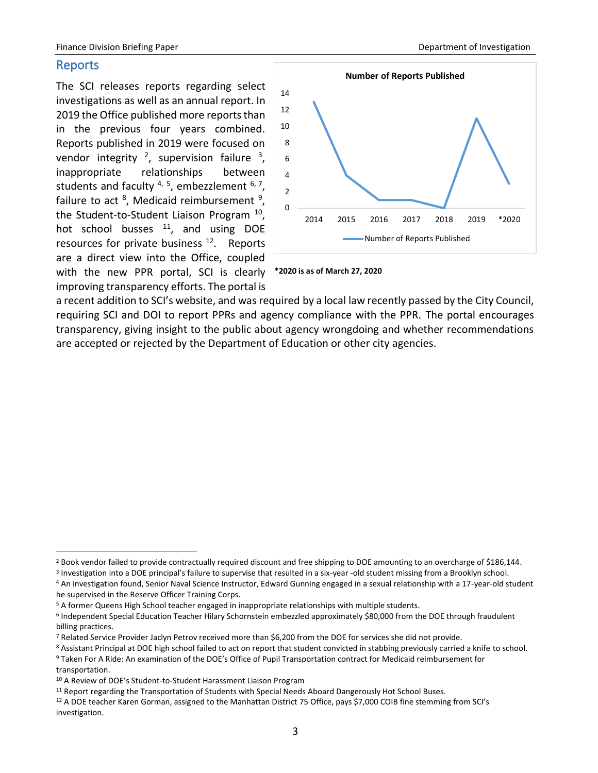#### <span id="page-4-0"></span>Reports

The SCI releases reports regarding select investigations as well as an annual report. In 2019 the Office published more reports than in the previous four years combined. Reports published in 2019 were focused on vendor integrity  $2$ , supervision failure  $3$ , inappropriate relationships between students and faculty  $4, 5$ , embezzlement  $6, 7$ , failure to act <sup>8</sup>, Medicaid reimbursement <sup>9</sup>, the Student-to-Student Liaison Program <sup>10</sup>, hot school busses  $11$ , and using DOE resources for private business<sup>12</sup>. Reports are a direct view into the Office, coupled with the new PPR portal, SCI is clearly

improving transparency efforts. The portal is





a recent addition to SCI's website, and was required by a local law recently passed by the City Council, requiring SCI and DOI to report PPRs and agency compliance with the PPR. The portal encourages transparency, giving insight to the public about agency wrongdoing and whether recommendations are accepted or rejected by the Department of Education or other city agencies.

<sup>&</sup>lt;sup>2</sup> Book vendor failed to provide contractually required discount and free shipping to DOE amounting to an overcharge of \$186,144.

<sup>&</sup>lt;sup>3</sup> Investigation into a DOE principal's failure to supervise that resulted in a six-year -old student missing from a Brooklyn school.

<sup>4</sup> An investigation found, Senior Naval Science Instructor, Edward Gunning engaged in a sexual relationship with a 17-year-old student he supervised in the Reserve Officer Training Corps.

<sup>5</sup> A former Queens High School teacher engaged in inappropriate relationships with multiple students.

<sup>6</sup> Independent Special Education Teacher Hilary Schornstein embezzled approximately \$80,000 from the DOE through fraudulent billing practices.

<sup>7</sup> Related Service Provider Jaclyn Petrov received more than \$6,200 from the DOE for services she did not provide.

<sup>8</sup> Assistant Principal at DOE high school failed to act on report that student convicted in stabbing previously carried a knife to school.

<sup>9</sup> Taken For A Ride: An examination of the DOE's Office of Pupil Transportation contract for Medicaid reimbursement for transportation.

<sup>10</sup> A Review of DOE's Student-to-Student Harassment Liaison Program

<sup>&</sup>lt;sup>11</sup> Report regarding the Transportation of Students with Special Needs Aboard Dangerously Hot School Buses.

<sup>12</sup> A DOE teacher Karen Gorman, assigned to the Manhattan District 75 Office, pays \$7,000 COIB fine stemming from SCI's investigation.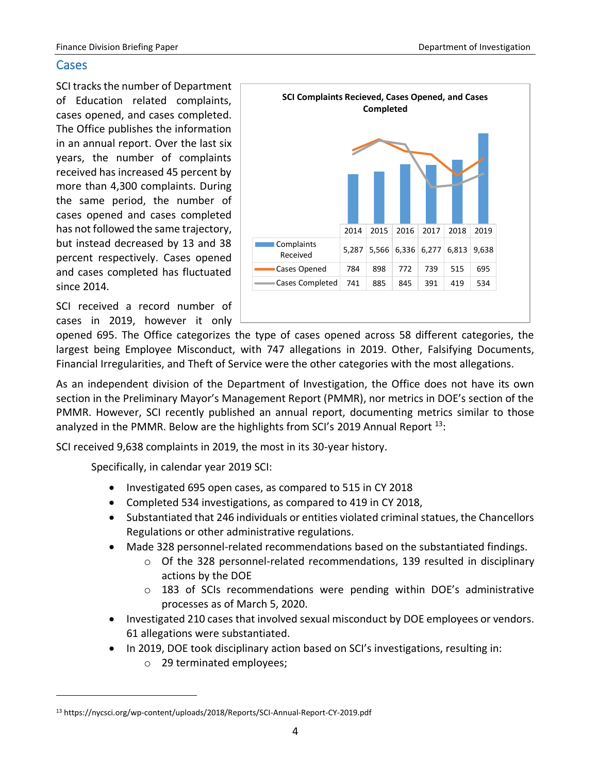#### <span id="page-5-0"></span>**Cases**

SCI tracks the number of Department of Education related complaints, cases opened, and cases completed. The Office publishes the information in an annual report. Over the last six years, the number of complaints received has increased 45 percent by more than 4,300 complaints. During the same period, the number of cases opened and cases completed has not followed the same trajectory, but instead decreased by 13 and 38 percent respectively. Cases opened and cases completed has fluctuated since 2014.

SCI received a record number of cases in 2019, however it only



opened 695. The Office categorizes the type of cases opened across 58 different categories, the largest being Employee Misconduct, with 747 allegations in 2019. Other, Falsifying Documents, Financial Irregularities, and Theft of Service were the other categories with the most allegations.

As an independent division of the Department of Investigation, the Office does not have its own section in the Preliminary Mayor's Management Report (PMMR), nor metrics in DOE's section of the PMMR. However, SCI recently published an annual report, documenting metrics similar to those analyzed in the PMMR. Below are the highlights from SCI's 2019 Annual Report <sup>13</sup>:

SCI received 9,638 complaints in 2019, the most in its 30-year history.

Specifically, in calendar year 2019 SCI:

- Investigated 695 open cases, as compared to 515 in CY 2018
- Completed 534 investigations, as compared to 419 in CY 2018,
- Substantiated that 246 individuals or entities violated criminal statues, the Chancellors Regulations or other administrative regulations.
- Made 328 personnel-related recommendations based on the substantiated findings.
	- $\circ$  Of the 328 personnel-related recommendations, 139 resulted in disciplinary actions by the DOE
	- o 183 of SCIs recommendations were pending within DOE's administrative processes as of March 5, 2020.
- Investigated 210 cases that involved sexual misconduct by DOE employees or vendors. 61 allegations were substantiated.
- In 2019, DOE took disciplinary action based on SCI's investigations, resulting in:
	- o 29 terminated employees;

<sup>13</sup> https://nycsci.org/wp-content/uploads/2018/Reports/SCI-Annual-Report-CY-2019.pdf